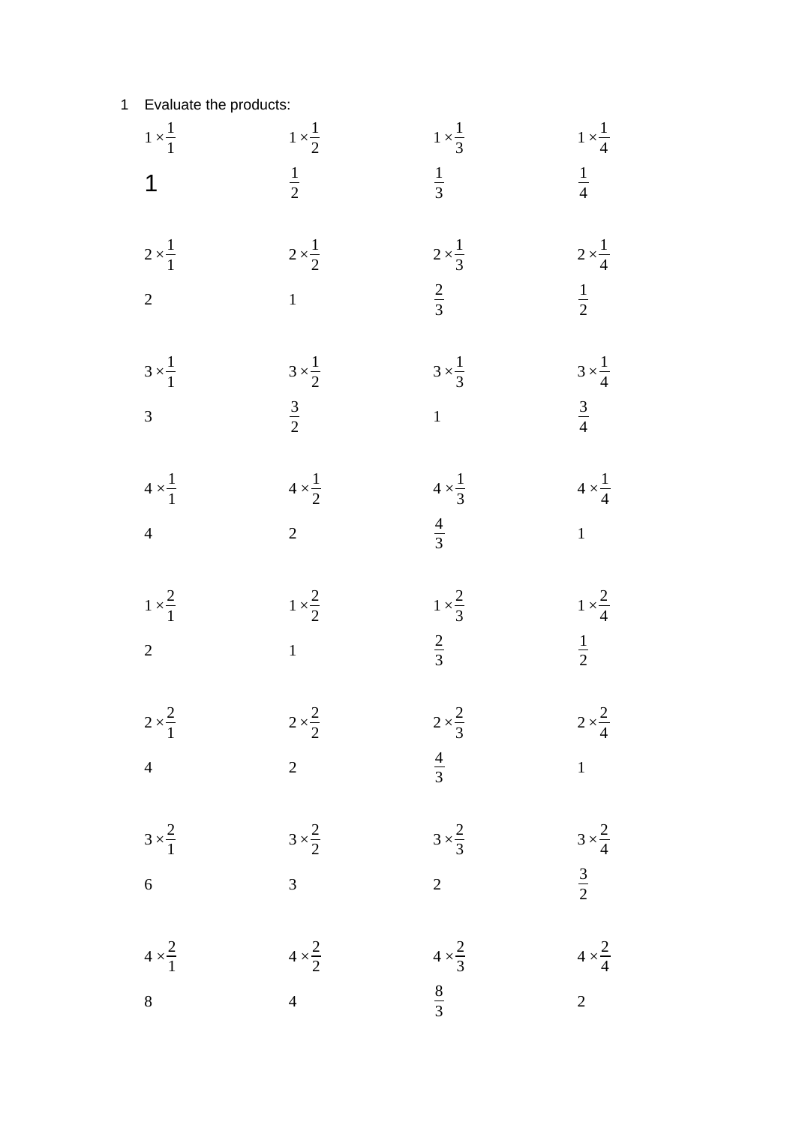| $1 \times \frac{1}{1}$ | $1 \times \frac{1}{2}$ | $1 \times \frac{1}{3}$ | $1 \times \frac{1}{4}$ |
|------------------------|------------------------|------------------------|------------------------|
| $\overline{1}$         | $rac{1}{2}$            | $rac{1}{3}$            | $\frac{1}{4}$          |
| $2 \times \frac{1}{1}$ | $2 \times \frac{1}{2}$ | $2 \times \frac{1}{3}$ | $2 \times \frac{1}{4}$ |
| $\overline{a}$         | 1                      | $rac{2}{3}$            | $rac{1}{2}$            |
| $3 \times \frac{1}{1}$ | $3 \times \frac{1}{2}$ | $3 \times \frac{1}{3}$ | $3 \times \frac{1}{4}$ |
| $\overline{3}$         | $rac{3}{2}$            | 1                      | $\frac{3}{4}$          |
| $4 \times \frac{1}{1}$ | $4 \times \frac{1}{2}$ | $4 \times \frac{1}{3}$ | $4 \times \frac{1}{4}$ |
| $\overline{4}$         | $\overline{2}$         | $rac{4}{3}$            | $\mathbf{1}$           |
| $1 \times \frac{2}{1}$ | $1 \times \frac{2}{2}$ | $1 \times \frac{2}{3}$ | $1 \times \frac{2}{4}$ |
| $\overline{a}$         | 1                      | $rac{2}{3}$            | $\frac{1}{2}$          |
| $2 \times \frac{2}{1}$ | $2 \times \frac{2}{2}$ | $2 \times \frac{2}{3}$ | $2 \times \frac{2}{4}$ |
| $\overline{4}$         | $\overline{2}$         | $rac{4}{3}$            | $\mathbf{1}$           |
| $3 \times \frac{2}{1}$ | $3 \times \frac{2}{2}$ | $3 \times \frac{2}{3}$ | $3 \times \frac{2}{4}$ |
| $\overline{6}$         | $\overline{3}$         | $\overline{a}$         | $rac{3}{2}$            |
| $4 \times \frac{2}{1}$ | $4 \times \frac{2}{2}$ | $4 \times \frac{2}{3}$ | $4 \times \frac{2}{4}$ |
| $\bf{8}$               | $\overline{4}$         | $\frac{8}{3}$          | $\overline{2}$         |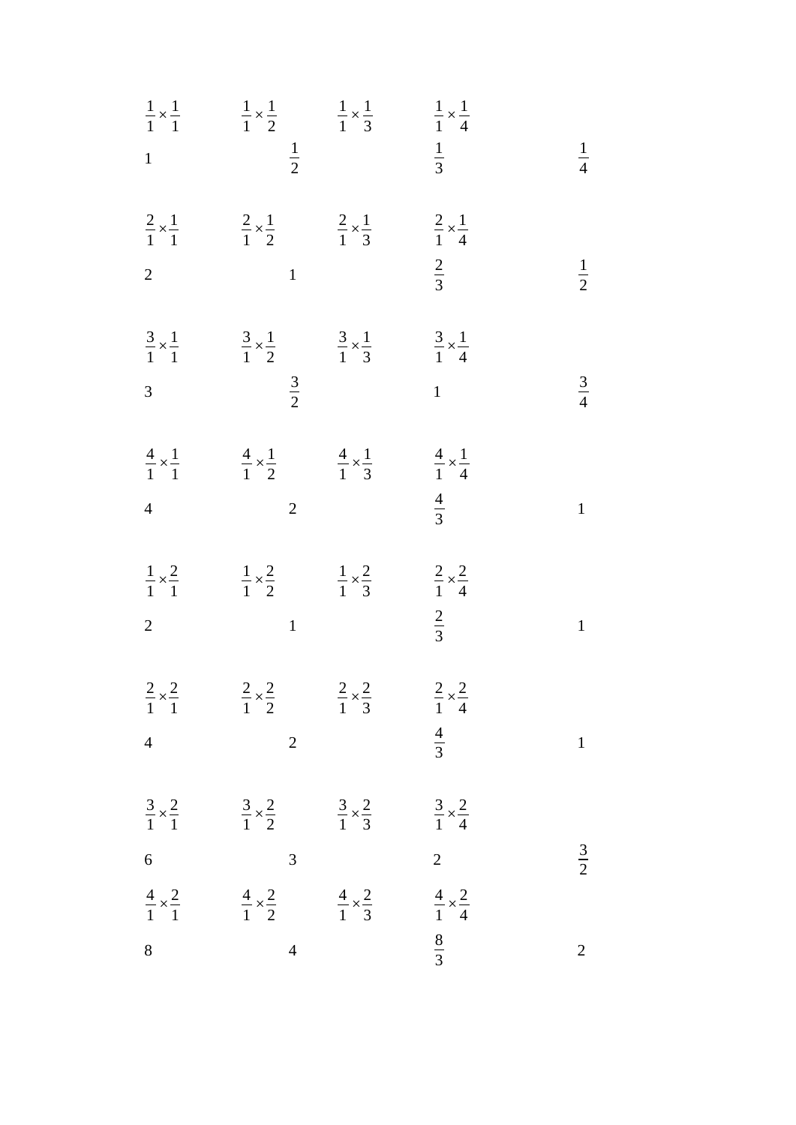| $\overline{1}$                                   | $\frac{1}{1} \times \frac{1}{1}$ $\frac{1}{1} \times \frac{1}{2}$ $\frac{1}{1} \times \frac{1}{3}$ $\frac{1}{1} \times \frac{1}{4}$<br>$rac{1}{2}$    | $rac{1}{3}$                                      | $\frac{1}{4}$  |
|--------------------------------------------------|-------------------------------------------------------------------------------------------------------------------------------------------------------|--------------------------------------------------|----------------|
| $\overline{2}$                                   | $\frac{2}{1} \times \frac{1}{1}$ $\frac{2}{1} \times \frac{1}{2}$ $\frac{2}{1} \times \frac{1}{3}$ $\frac{2}{1} \times \frac{1}{4}$<br>$\mathbf{1}$   | $rac{2}{3}$                                      | $\frac{1}{2}$  |
| $\overline{3}$                                   | $\frac{3}{1} \times \frac{1}{1}$ $\frac{3}{1} \times \frac{1}{2}$ $\frac{3}{1} \times \frac{1}{3}$<br>$rac{3}{2}$                                     | $rac{3}{1} \times \frac{1}{4}$<br>$\overline{1}$ | $rac{3}{4}$    |
| $\overline{4}$                                   | $\frac{4}{1} \times \frac{1}{1}$ $\frac{4}{1} \times \frac{1}{2}$ $\frac{4}{1} \times \frac{1}{3}$ $\frac{4}{1} \times \frac{1}{4}$<br>$\overline{2}$ | $rac{4}{3}$                                      | $\mathbf{1}$   |
| $\overline{2}$                                   | $\frac{1}{1} \times \frac{2}{1}$ $\frac{1}{1} \times \frac{2}{2}$ $\frac{1}{1} \times \frac{2}{3}$ $\frac{2}{1} \times \frac{2}{4}$<br>$\mathbf{1}$   | $rac{2}{3}$                                      | $\mathbf{1}$   |
| $rac{2}{1} \times \frac{2}{1}$<br>$\overline{4}$ | $\frac{2}{1} \times \frac{2}{2}$ $\frac{2}{1} \times \frac{2}{3}$<br>$\overline{2}$                                                                   | $rac{2}{1} \times \frac{2}{4}$<br>$\frac{4}{3}$  | $\mathbf{1}$   |
| $\overline{6}$                                   | $\frac{3}{1} \times \frac{2}{1}$ $\frac{3}{1} \times \frac{2}{2}$ $\frac{3}{1} \times \frac{2}{3}$ $\frac{3}{1} \times \frac{2}{4}$<br>3              | $\overline{2}$                                   | $rac{3}{2}$    |
| $\, 8$                                           | $\frac{4}{1} \times \frac{2}{1}$ $\frac{4}{1} \times \frac{2}{2}$ $\frac{4}{1} \times \frac{2}{3}$ $\frac{4}{1} \times \frac{2}{4}$<br>$\overline{4}$ | $rac{8}{3}$                                      | $\overline{2}$ |